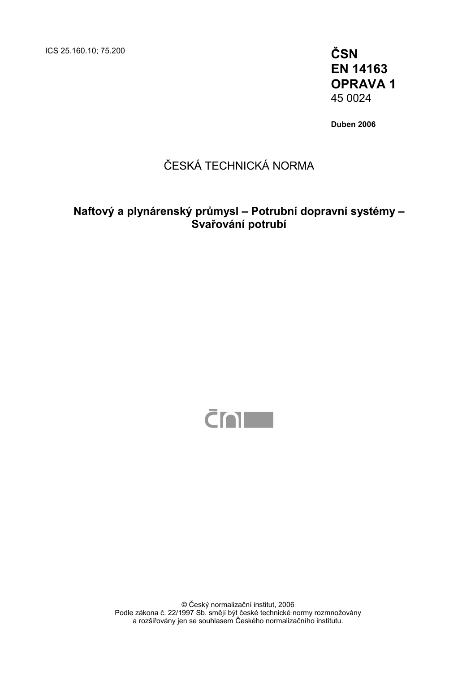ICS 25.160.10; 75.200 **ČSN** 

**EN 14163 OPRAVA 1**  45 0024

**Duben 2006** 

## ČESKÁ TECHNICKÁ NORMA

## **Naftový a plynárenský průmysl – Potrubní dopravní systémy – Svařování potrubí**



© Český normalizační institut, 2006 Podle zákona č. 22/1997 Sb. smějí být české technické normy rozmnožovány a rozšiřovány jen se souhlasem Českého normalizačního institutu.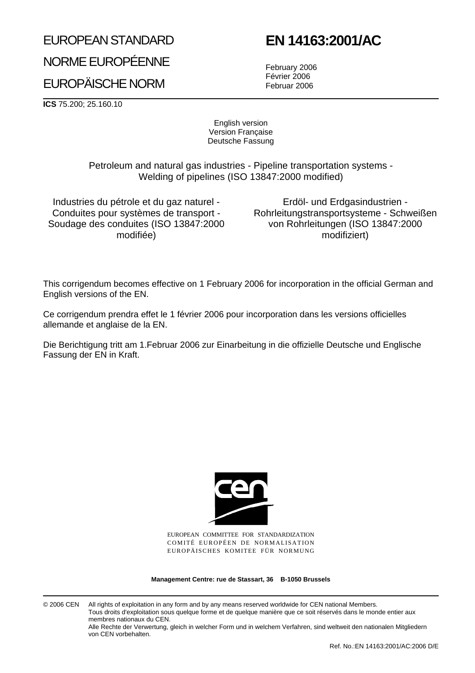# EUROPEAN STANDARD NORME EUROPÉENNE EUROPÄISCHE NORM

# **EN 14163:2001/AC**

February 2006 Février 2006 Februar 2006

**ICS** 75.200; 25.160.10

English version Version Française Deutsche Fassung

Petroleum and natural gas industries - Pipeline transportation systems - Welding of pipelines (ISO 13847:2000 modified)

Industries du pétrole et du gaz naturel - Conduites pour systèmes de transport - Soudage des conduites (ISO 13847:2000 modifiée)

Erdöl- und Erdgasindustrien - Rohrleitungstransportsysteme - Schweißen von Rohrleitungen (ISO 13847:2000 modifiziert)

This corrigendum becomes effective on 1 February 2006 for incorporation in the official German and English versions of the EN.

Ce corrigendum prendra effet le 1 février 2006 pour incorporation dans les versions officielles allemande et anglaise de la EN.

Die Berichtigung tritt am 1.Februar 2006 zur Einarbeitung in die offizielle Deutsche und Englische Fassung der EN in Kraft.



EUROPEAN COMMITTEE FOR STANDARDIZATION COMITÉ EUROPÉEN DE NORMALISATION EUROPÄISCHES KOMITEE FÜR NORMUNG

**Management Centre: rue de Stassart, 36 B-1050 Brussels**

© 2006 CEN All rights of exploitation in any form and by any means reserved worldwide for CEN national Members. Tous droits d'exploitation sous quelque forme et de quelque manière que ce soit réservés dans le monde entier aux membres nationaux du CEN. Alle Rechte der Verwertung, gleich in welcher Form und in welchem Verfahren, sind weltweit den nationalen Mitgliedern von CEN vorbehalten.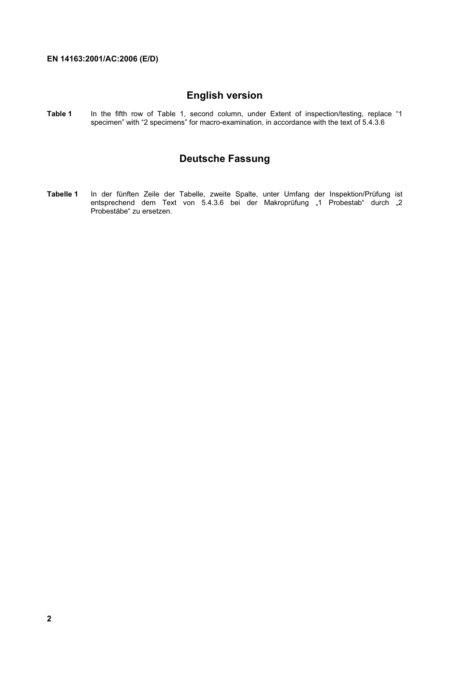### **English version**

**Table 1** In the fifth row of Table 1, second column, under Extent of inspection/testing, replace "1 specimen" with "2 specimens" for macro-examination, in accordance with the text of 5.4.3.6

### **Deutsche Fassung**

**Tabelle 1** In der fünften Zeile der Tabelle, zweite Spalte, unter Umfang der Inspektion/Prüfung ist entsprechend dem Text von 5.4.3.6 bei der Makroprüfung "1 Probestab" durch "2 Probestäbe" zu ersetzen.